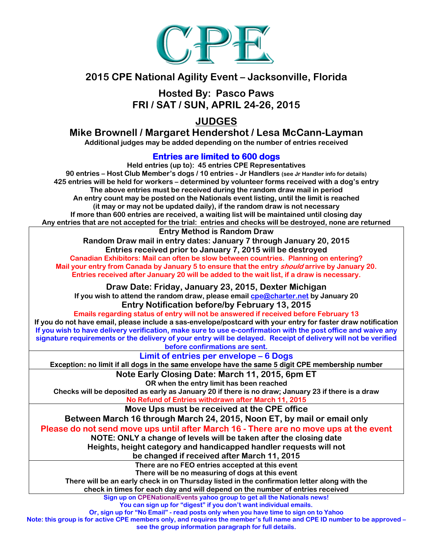

# 2015 CPE National Agility Event – Jacksonville, Florida

Hosted By: Pasco Paws FRI / SAT / SUN, APRIL 24-26, 2015

JUDGES

# Mike Brownell / Margaret Hendershot / Lesa McCann-Layman

Additional judges may be added depending on the number of entries received

## Entries are limited to 600 dogs

Held entries (up to): 45 entries CPE Representatives 90 entries – Host Club Member's dogs / 10 entries - Jr Handlers (see Jr Handler info for details) 425 entries will be held for workers – determined by volunteer forms received with a dog's entry The above entries must be received during the random draw mail in period An entry count may be posted on the Nationals event listing, until the limit is reached (it may or may not be updated daily), if the random draw is not necessary If more than 600 entries are received, a waiting list will be maintained until closing day Any entries that are not accepted for the trial: entries and checks will be destroyed, none are returned Entry Method is Random Draw Random Draw mail in entry dates: January 7 through January 20, 2015 Entries received prior to January 7, 2015 will be destroyed Canadian Exhibitors: Mail can often be slow between countries. Planning on entering? Mail your entry from Canada by January 5 to ensure that the entry *should* arrive by January 20. Entries received after January 20 will be added to the wait list, if a draw is necessary. Draw Date: Friday, January 23, 2015, Dexter Michigan If you wish to attend the random draw, please email  $cpe@charter.net$  by January 20 Entry Notification before/by February 13, 2015 Emails regarding status of entry will not be answered if received before February 13 If you do not have email, please include a sas-envelope/postcard with your entry for faster draw notification If you wish to have delivery verification, make sure to use e-confirmation with the post office and waive any signature requirements or the delivery of your entry will be delayed. Receipt of delivery will not be verified before confirmations are sent. Limit of entries per envelope – 6 Dogs **Exception: no limit if all dogs in the same envelope have the same 5 digit CPE membership number** Note Early Closing Date: March 11, 2015, 6pm ET OR when the entry limit has been reached Checks will be deposited as early as January 20 if there is no draw; January 23 if there is a draw No Refund of Entries withdrawn after March 11, 2015 Move Ups must be received at the CPE office Between March 16 through March 24, 2015, Noon ET, by mail or email only Please do not send move ups until after March 16 - There are no move ups at the event NOTE: ONLY a change of levels will be taken after the closing date Heights, height category and handicapped handler requests will not be changed if received after March 11, 2015 There are no FEO entries accepted at this event There will be no measuring of dogs at this event There will be an early check in on Thursday listed in the confirmation letter along with the check in times for each day and will depend on the number of entries received Sign up on CPENationalEvents yahoo group to get all the Nationals news! You can sign up for "digest" if you don't want individual emails. Or, sign up for "No Email" - read posts only when you have time to sign on to Yahoo

Note: this group is for active CPE members only, and requires the member's full name and CPE ID number to be approved – see the group information paragraph for full details.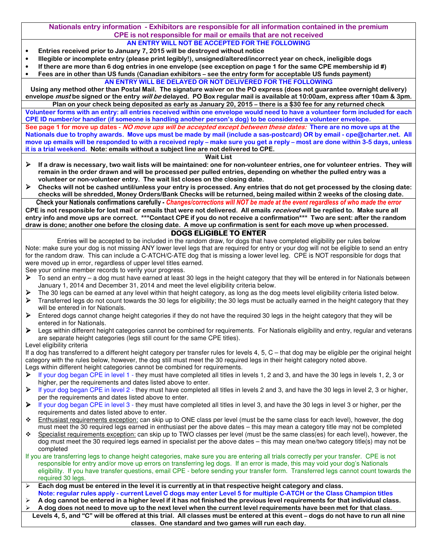Nationals entry information - Exhibitors are responsible for all information contained in the premium CPE is not responsible for mail or emails that are not received

- AN ENTRY WILL NOT BE ACCEPTED FOR THE FOLLOWING • Entries received prior to January 7, 2015 will be destroyed without notice
- Illegible or incomplete entry (please print legibly!), unsigned/altered/incorrect year on check, ineligible dogs
- If there are more than 6 dog entries in one envelope (see exception on page 1 for the same CPE membership id #)
- Fees are in other than US funds (Canadian exhibitors see the entry form for acceptable US funds payment) AN ENTRY WILL BE DELAYED OR NOT DELIVERED FOR THE FOLLOWING

Using any method other than Postal Mail. The signature waiver on the PO express (does not guarantee overnight delivery) envelope *must* be signed or the entry will be delayed. PO Box regular mail is available at 10:00am, express after 10am & 3pm.

Plan on your check being deposited as early as January 20, 2015 – there is a \$30 fee for any returned check Volunteer forms with an entry: all entries received within one envelope would need to have a volunteer form included for each CPE ID number/or handler (if someone is handling another person's dog) to be considered a volunteer envelope. See page 1 for move up dates - NO move ups will be accepted except between these dates: There are no move ups at the Nationals due to trophy awards. Move ups must be made by mail (include a sas-postcard) OR by email - cpe@charter.net. All move up emails will be responded to with a received reply – make sure you get a reply – most are done within 3-5 days, unless it is a trial weekend. Note: emails without a subject line are not delivered to CPE.

Wait List

- $\triangleright$  If a draw is necessary, two wait lists will be maintained: one for non-volunteer entries, one for volunteer entries. They will remain in the order drawn and will be processed per pulled entries, depending on whether the pulled entry was a volunteer or non-volunteer entry. The wait list closes on the closing date.
- $\triangleright$  Checks will not be cashed until/unless your entry is processed. Any entries that do not get processed by the closing date: checks will be shredded, Money Orders/Bank Checks will be returned, being mailed within 2 weeks of the closing date. Check your Nationals confirmations carefully - Changes/corrections will NOT be made at the event regardless of who made the error

CPE is not responsible for lost mail or emails that were not delivered. All emails received will be replied to. Make sure all entry info and move ups are correct. \*\*\*Contact CPE if you do not receive a confirmation\*\*\* Two are sent: after the random draw is done; another one before the closing date. A move up confirmation is sent for each move up when processed.

### DOGS ELIGIBLE TO ENTER

Entries will be accepted to be included in the random draw, for dogs that have completed eligibility per rules below Note: make sure your dog is not missing ANY lower level legs that are required for entry or your dog will not be eligible to send an entry for the random draw. This can include a C-ATCH/C-ATE dog that is missing a lower level leg. CPE is NOT responsible for dogs that were moved up in error, regardless of upper level titles earned.

See your online member records to verify your progress.

- $\triangleright$  To send an entry a dog must have earned at least 30 legs in the height category that they will be entered in for Nationals between January 1, 2014 and December 31, 2014 and meet the level eligibility criteria below.
- The 30 legs can be earned at any level within that height category, as long as the dog meets level eligibility criteria listed below.
- Fransferred legs do not count towards the 30 legs for eligibility; the 30 legs must be actually earned in the height category that they will be entered in for Nationals.
- $\triangleright$  Entered dogs cannot change height categories if they do not have the required 30 legs in the height category that they will be entered in for Nationals.
- ▶ Legs within different height categories cannot be combined for requirements. For Nationals eligibility and entry, regular and veterans are separate height categories (legs still count for the same CPE titles).

Level eligibility criteria

If a dog has transferred to a different height category per transfer rules for levels 4, 5, C – that dog may be eligible per the original height category with the rules below, however, the dog still must meet the 30 required legs in their height category noted above. Legs within different height categories cannot be combined for requirements.

- If your dog began CPE in level 1 they must have completed all titles in levels 1, 2 and 3, and have the 30 legs in levels 1, 2, 3 or higher, per the requirements and dates listed above to enter.
- $\triangleright$  If your dog began CPE in level 2 they must have completed all titles in levels 2 and 3, and have the 30 legs in level 2, 3 or higher, per the requirements and dates listed above to enter.
- If your dog began CPE in level 3 they must have completed all titles in level 3, and have the 30 legs in level 3 or higher, per the requirements and dates listed above to enter.
- **↑** Enthusiast requirements exception: can skip up to ONE class per level (must be the same class for each level), however, the dog must meet the 30 required legs earned in enthusiast per the above dates – this may mean a category title may not be completed
- Specialist requirements exception: can skip up to TWO classes per level (must be the same class(es) for each level), however, the dog must meet the 30 required legs earned in specialist per the above dates – this may mean one/two category title(s) may not be completed
- If you are transferring legs to change height categories, make sure you are entering all trials correctly per your transfer. CPE is not responsible for entry and/or move up errors on transferring leg dogs. If an error is made, this may void your dog's Nationals eligibility. If you have transfer questions, email CPE - before sending your transfer form. Transferred legs cannot count towards the required 30 legs.
- $\geq$  Each dog must be entered in the level it is currently at in that respective height category and class. Note: regular rules apply - current Level C dogs may enter Level 5 for multiple C-ATCH or the Class Champion titles
- A dog cannot be entered in a higher level if it has not finished the previous level requirements for that individual class. A dog does not need to move up to the next level when the current level requirements have been met for that class.
- Levels 4, 5, and "C" will be offered at this trial. All classes must be entered at this event dogs do not have to run all nine classes. One standard and two games will run each day.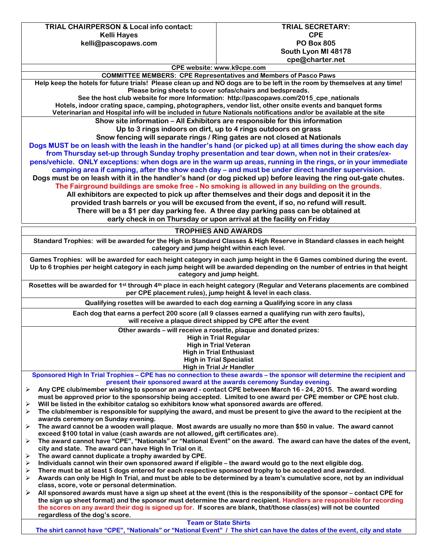TRIAL CHAIRPERSON & Local info contact: Kelli Hayes kelli@pascopaws.com TRIAL SECRETARY:

#### CPE PO Box 805 South Lyon MI 48178 cpe@charter.net

CPE website: www.k9cpe.com

COMMITTEE MEMBERS: CPE Representatives and Members of Pasco Paws Help keep the hotels for future trials! Please clean up and NO dogs are to be left in the room by themselves at any time! Please bring sheets to cover sofas/chairs and bedspreads. See the host club website for more Information: http://pascopaws.com/2015\_cpe\_nationals Hotels, indoor crating space, camping, photographers, vendor list, other onsite events and banquet forms Veterinarian and Hospital info will be included in future Nationals notifications and/or be available at the site Show site information – All Exhibitors are responsible for this information Up to 3 rings indoors on dirt, up to 4 rings outdoors on grass Snow fencing will separate rings / Ring gates are not closed at Nationals Dogs MUST be on leash with the leash in the handler's hand (or picked up) at all times during the show each day from Thursday set-up through Sunday trophy presentation and tear down, when not in their crates/expens/vehicle. ONLY exceptions: when dogs are in the warm up areas, running in the rings, or in your immediate camping area if camping, after the show each day – and must be under direct handler supervision. Dogs must be on leash with it in the handler's hand (or dog picked up) before leaving the ring out-gate chutes. The Fairground buildings are smoke free - No smoking is allowed in any building on the grounds. All exhibitors are expected to pick up after themselves and their dogs and deposit it in the provided trash barrels or you will be excused from the event, if so, no refund will result. There will be a \$1 per day parking fee. A three day parking pass can be obtained at

early check in on Thursday or upon arrival at the facility on Friday

#### TROPHIES AND AWARDS

Standard Trophies: will be awarded for the High in Standard Classes & High Reserve in Standard classes in each height category and jump height within each level.

Games Trophies: will be awarded for each height category in each jump height in the 6 Games combined during the event. Up to 6 trophies per height category in each jump height will be awarded depending on the number of entries in that height category and jump height.

Rosettes will be awarded for 1st through 4th place in each height category (Regular and Veterans placements are combined per CPE placement rules), jump height & level in each class.

Qualifying rosettes will be awarded to each dog earning a Qualifying score in any class

Each dog that earns a perfect 200 score (all 9 classes earned a qualifying run with zero faults), will receive a plaque direct shipped by CPE after the event

Other awards – will receive a rosette, plaque and donated prizes:

High in Trial Regular High in Trial Veteran High in Trial Enthusiast High in Trial Specialist High in Trial Jr Handler

Sponsored High In Trial Trophies – CPE has no connection to these awards – the sponsor will determine the recipient and present their sponsored award at the awards ceremony Sunday evening.

- $\triangleright$  Any CPE club/member wishing to sponsor an award contact CPE between March 16 24, 2015. The award wording must be approved prior to the sponsorship being accepted. Limited to one award per CPE member or CPE host club. Will be listed in the exhibitor catalog so exhibitors know what sponsored awards are offered.
- The club/member is responsible for supplying the award, and must be present to give the award to the recipient at the awards ceremony on Sunday evening.
- $\triangleright$  The award cannot be a wooden wall plaque. Most awards are usually no more than \$50 in value. The award cannot exceed \$100 total in value (cash awards are not allowed, gift certificates are).
- $\triangleright$  The award cannot have "CPE", "Nationals" or "National Event" on the award. The award can have the dates of the event, city and state. The award can have High In Trial on it.
- The award cannot duplicate a trophy awarded by CPE.
- Individuals cannot win their own sponsored award if eligible the award would go to the next eligible dog.
- There must be at least 5 dogs entered for each respective sponsored trophy to be accepted and awarded.
- $\triangleright$  Awards can only be High In Trial, and must be able to be determined by a team's cumulative score, not by an individual class, score, vote or personal determination.
- $\triangleright$  All sponsored awards must have a sign up sheet at the event (this is the responsibility of the sponsor contact CPE for the sign up sheet format) and the sponsor must determine the award recipient. Handlers are responsible for recording the scores on any award their dog is signed up for. If scores are blank, that/those class(es) will not be counted regardless of the dog's score.

Team or State Shirts

The shirt cannot have "CPE", "Nationals" or "National Event" / The shirt can have the dates of the event, city and state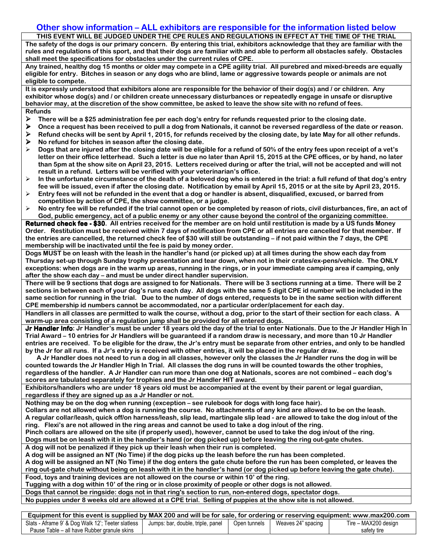### Other show information – ALL exhibitors are responsible for the information listed below

THIS EVENT WILL BE JUDGED UNDER THE CPE RULES AND REGULATIONS IN EFFECT AT THE TIME OF THE TRIAL The safety of the dogs is our primary concern. By entering this trial, exhibitors acknowledge that they are familiar with the rules and regulations of this sport, and that their dogs are familiar with and able to perform all obstacles safely. Obstacles shall meet the specifications for obstacles under the current rules of CPE.

Any trained, healthy dog 15 months or older may compete in a CPE agility trial. All purebred and mixed-breeds are equally eligible for entry. Bitches in season or any dogs who are blind, lame or aggressive towards people or animals are not eligible to compete.

It is expressly understood that exhibitors alone are responsible for the behavior of their dog(s) and / or children. Any exhibitor whose dog(s) and / or children create unnecessary disturbances or repeatedly engage in unsafe or disruptive behavior may, at the discretion of the show committee, be asked to leave the show site with no refund of fees. Refunds

- $\triangleright$  There will be a \$25 administration fee per each dog's entry for refunds requested prior to the closing date.
- $\triangleright$  Once a request has been received to pull a dog from Nationals, it cannot be reversed regardless of the date or reason.
- $\triangleright$  Refund checks will be sent by April 1, 2015, for refunds received by the closing date, by late May for all other refunds.  $\triangleright$  No refund for bitches in season after the closing date.
- $\triangleright$  Dogs that are iniured after the closing date will be eligible for a refund of 50% of the entry fees upon receipt of a vet's letter on their office letterhead. Such a letter is due no later than April 15, 2015 at the CPE offices, or by hand, no later than 5pm at the show site on April 23, 2015. Letters received during or after the trial, will not be accepted and will not result in a refund. Letters will be verified with your veterinarian's office.
- $\triangleright$  In the unfortunate circumstance of the death of a beloved dog who is entered in the trial: a full refund of that dog's entry fee will be issued, even if after the closing date. Notification by email by April 15, 2015 or at the site by April 23, 2015.
- $\triangleright$  Entry fees will not be refunded in the event that a dog or handler is absent, disqualified, excused, or barred from competition by action of CPE, the show committee, or a judge.
- > No entry fee will be refunded if the trial cannot open or be completed by reason of riots, civil disturbances, fire, an act of God, public emergency, act of a public enemy or any other cause beyond the control of the organizing committee.

Returned check fee - \$30. All entries received for the member are on hold until restitution is made by a US funds Money Order. Restitution must be received within 7 days of notification from CPE or all entries are cancelled for that member. If the entries are cancelled, the returned check fee of \$30 will still be outstanding – if not paid within the 7 days, the CPE membership will be inactivated until the fee is paid by money order.

Dogs MUST be on leash with the leash in the handler's hand (or picked up) at all times during the show each day from Thursday set-up through Sunday trophy presentation and tear down, when not in their crates/ex-pens/vehicle. The ONLY exceptions: when dogs are in the warm up areas, running in the rings, or in your immediate camping area if camping, only after the show each day – and must be under direct handler supervision.

There will be 9 sections that dogs are assigned to for Nationals. There will be 3 sections running at a time. There will be 2 sections in between each of your dog's runs each day. All dogs with the same 5 digit CPE id number will be included in the same section for running in the trial. Due to the number of dogs entered, requests to be in the same section with different CPE membership id numbers cannot be accommodated, nor a particular order/placement for each day.

Handlers in all classes are permitted to walk the course, without a dog, prior to the start of their section for each class. A warm-up area consisting of a regulation jump shall be provided for all entered dogs.

Jr Handler Info: Jr Handler's must be under 18 years old the day of the trial to enter Nationals. Due to the Jr Handler High In Trial Award – 10 entries for Jr Handlers will be guaranteed if a random draw is necessary, and more than 10 Jr Handler entries are received. To be eligible for the draw, the Jr's entry must be separate from other entries, and only to be handled by the Jr for all runs. If a Jr's entry is received with other entries, it will be placed in the regular draw.

 A Jr Handler does not need to run a dog in all classes, however only the classes the Jr Handler runs the dog in will be counted towards the Jr Handler High In Trial. All classes the dog runs in will be counted towards the other trophies, regardless of the handler. A Jr Handler can run more than one dog at Nationals, scores are not combined – each dog's scores are tabulated separately for trophies and the Jr Handler HIT award.

Exhibitors/handlers who are under 18 years old must be accompanied at the event by their parent or legal guardian, regardless if they are signed up as a Jr Handler or not.

Nothing may be on the dog when running (exception – see rulebook for dogs with long face hair).

Collars are not allowed when a dog is running the course. No attachments of any kind are allowed to be on the leash. A regular collar/leash, quick off/on harness/leash, slip lead, martingale slip lead - are allowed to take the dog in/out of the ring. Flexi's are not allowed in the ring areas and cannot be used to take a dog in/out of the ring.

Pinch collars are allowed on the site (if properly used), however, cannot be used to take the dog in/out of the ring. Dogs must be on leash with it in the handler's hand (or dog picked up) before leaving the ring out-gate chutes.

A dog will not be penalized if they pick up their leash when their run is completed.

A dog will be assigned an NT (No Time) if the dog picks up the leash before the run has been completed.

A dog will be assigned an NT (No Time) if the dog enters the gate chute before the run has been completed, or leaves the

ring out-gate chute without being on leash with it in the handler's hand (or dog picked up before leaving the gate chute).

Food, toys and training devices are not allowed on the course or within 10' of the ring.

Tugging with a dog within 10' of the ring or in close proximity of people or other dogs is not allowed.

Dogs that cannot be ringside: dogs not in that ring's section to run, non-entered dogs, spectator dogs.

No puppies under 8 weeks old are allowed at a CPE trial. Selling of puppies at the show site is not allowed.

| Equipment for this event is supplied by MAX 200 and will be for sale, for ordering or reserving equipment: www.max200.com |                                   |              |                    |                      |  |  |  |  |
|---------------------------------------------------------------------------------------------------------------------------|-----------------------------------|--------------|--------------------|----------------------|--|--|--|--|
| Slats - Aframe 9' & Dog Walk 12'; Teeter slatless                                                                         | Jumps: bar, double, triple, panel | Open tunnels | Weaves 24" spacing | Tire - MAX200 design |  |  |  |  |
| Pause Table – all have Rubber granule skins                                                                               |                                   |              |                    | safety tire          |  |  |  |  |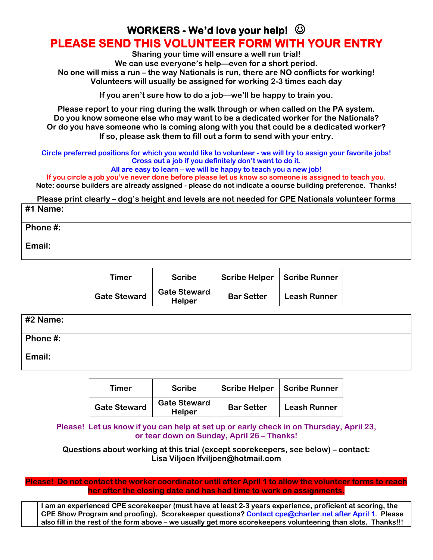# WORKERS - We'd love your help!  $\odot$ PLEASE SEND THIS VOLUNTEER FORM WITH YOUR ENTRY

Sharing your time will ensure a well run trial! We can use everyone's help—even for a short period. No one will miss a run – the way Nationals is run, there are NO conflicts for working! Volunteers will usually be assigned for working 2-3 times each day

If you aren't sure how to do a job—we'll be happy to train you.

Please report to your ring during the walk through or when called on the PA system. Do you know someone else who may want to be a dedicated worker for the Nationals? Or do you have someone who is coming along with you that could be a dedicated worker? If so, please ask them to fill out a form to send with your entry.

Circle preferred positions for which you would like to volunteer - we will try to assign your favorite jobs! Cross out a job if you definitely don't want to do it.

All are easy to learn – we will be happy to teach you a new job!

If you circle a job you've never done before please let us know so someone is assigned to teach you. Note: course builders are already assigned - please do not indicate a course building preference. Thanks!

Please print clearly – dog's height and levels are not needed for CPE Nationals volunteer forms

## #1 Name:

Phone #:

Email:

| Timer               | <b>Scribe</b>                        | <b>Scribe Helper</b> | <b>Scribe Runner</b> |  |  |
|---------------------|--------------------------------------|----------------------|----------------------|--|--|
| <b>Gate Steward</b> | <b>Gate Steward</b><br><b>Helper</b> | <b>Bar Setter</b>    | <b>Leash Runner</b>  |  |  |

| $\#2$ Name:         |  |
|---------------------|--|
| $\vert$ Phone #:    |  |
| <sup>l</sup> Email: |  |

| Timer               | <b>Scribe</b>                        | <b>Scribe Helper</b> | <b>Scribe Runner</b> |  |  |
|---------------------|--------------------------------------|----------------------|----------------------|--|--|
| <b>Gate Steward</b> | <b>Gate Steward</b><br><b>Helper</b> | <b>Bar Setter</b>    | <b>Leash Runner</b>  |  |  |

Please! Let us know if you can help at set up or early check in on Thursday, April 23, or tear down on Sunday, April 26 – Thanks!

Questions about working at this trial (except scorekeepers, see below) – contact: Lisa Viljoen lfviljoen@hotmail.com

Please! Do not contact the worker coordinator until after April 1 to allow the volunteer forms to reach her after the closing date and has had time to work on assignments.

I am an experienced CPE scorekeeper (must have at least 2-3 years experience, proficient at scoring, the CPE Show Program and proofing). Scorekeeper questions? Contact cpe@charter.net after April 1. Please also fill in the rest of the form above – we usually get more scorekeepers volunteering than slots. Thanks!!!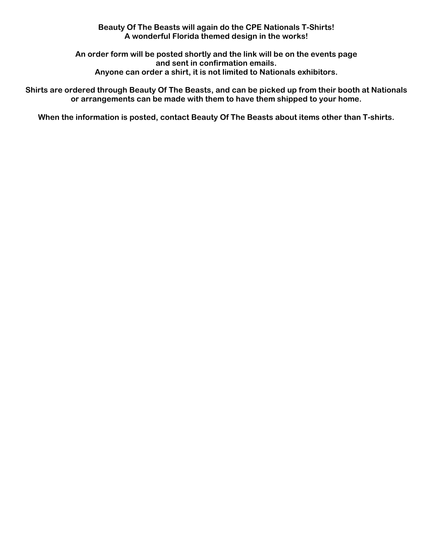### Beauty Of The Beasts will again do the CPE Nationals T-Shirts! A wonderful Florida themed design in the works!

An order form will be posted shortly and the link will be on the events page and sent in confirmation emails. Anyone can order a shirt, it is not limited to Nationals exhibitors.

Shirts are ordered through Beauty Of The Beasts, and can be picked up from their booth at Nationals or arrangements can be made with them to have them shipped to your home.

When the information is posted, contact Beauty Of The Beasts about items other than T-shirts.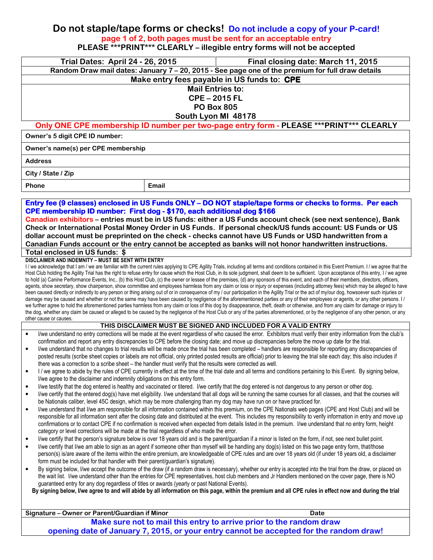## Do not staple/tape forms or checks! Do not include a copy of your P-card! page 1 of 2, both pages must be sent for an acceptable entry PLEASE \*\*\*PRINT\*\*\* CLEARLY – illegible entry forms will not be accepted

| <b>Trial Dates: April 24 - 26, 2015</b><br>Final closing date: March 11, 2015                                                                                                                                                                                                                                                               |                                                                                                                                                                      |                                                                                                                                                                                                                                                                                                                                                                                                    |  |  |  |  |  |  |
|---------------------------------------------------------------------------------------------------------------------------------------------------------------------------------------------------------------------------------------------------------------------------------------------------------------------------------------------|----------------------------------------------------------------------------------------------------------------------------------------------------------------------|----------------------------------------------------------------------------------------------------------------------------------------------------------------------------------------------------------------------------------------------------------------------------------------------------------------------------------------------------------------------------------------------------|--|--|--|--|--|--|
| Random Draw mail dates: January 7 - 20, 2015 - See page one of the premium for full draw details                                                                                                                                                                                                                                            |                                                                                                                                                                      |                                                                                                                                                                                                                                                                                                                                                                                                    |  |  |  |  |  |  |
| Make entry fees payable in US funds to: CPE<br><b>Mail Entries to:</b>                                                                                                                                                                                                                                                                      |                                                                                                                                                                      |                                                                                                                                                                                                                                                                                                                                                                                                    |  |  |  |  |  |  |
|                                                                                                                                                                                                                                                                                                                                             | <b>CPE-2015 FL</b>                                                                                                                                                   |                                                                                                                                                                                                                                                                                                                                                                                                    |  |  |  |  |  |  |
| <b>PO Box 805</b>                                                                                                                                                                                                                                                                                                                           |                                                                                                                                                                      |                                                                                                                                                                                                                                                                                                                                                                                                    |  |  |  |  |  |  |
|                                                                                                                                                                                                                                                                                                                                             | South Lyon MI 48178                                                                                                                                                  |                                                                                                                                                                                                                                                                                                                                                                                                    |  |  |  |  |  |  |
|                                                                                                                                                                                                                                                                                                                                             | Only ONE CPE membership ID number per two-page entry form - PLEASE *** PRINT*** CLEARLY                                                                              |                                                                                                                                                                                                                                                                                                                                                                                                    |  |  |  |  |  |  |
| Owner's 5 digit CPE ID number:                                                                                                                                                                                                                                                                                                              |                                                                                                                                                                      |                                                                                                                                                                                                                                                                                                                                                                                                    |  |  |  |  |  |  |
| Owner's name(s) per CPE membership                                                                                                                                                                                                                                                                                                          |                                                                                                                                                                      |                                                                                                                                                                                                                                                                                                                                                                                                    |  |  |  |  |  |  |
| <b>Address</b>                                                                                                                                                                                                                                                                                                                              |                                                                                                                                                                      |                                                                                                                                                                                                                                                                                                                                                                                                    |  |  |  |  |  |  |
| City / State / Zip                                                                                                                                                                                                                                                                                                                          |                                                                                                                                                                      |                                                                                                                                                                                                                                                                                                                                                                                                    |  |  |  |  |  |  |
| Phone                                                                                                                                                                                                                                                                                                                                       | Email                                                                                                                                                                |                                                                                                                                                                                                                                                                                                                                                                                                    |  |  |  |  |  |  |
|                                                                                                                                                                                                                                                                                                                                             |                                                                                                                                                                      |                                                                                                                                                                                                                                                                                                                                                                                                    |  |  |  |  |  |  |
|                                                                                                                                                                                                                                                                                                                                             |                                                                                                                                                                      | Entry fee (9 classes) enclosed in US Funds ONLY - DO NOT staple/tape forms or checks to forms. Per each                                                                                                                                                                                                                                                                                            |  |  |  |  |  |  |
| CPE membership ID number: First dog - \$170, each additional dog \$166                                                                                                                                                                                                                                                                      |                                                                                                                                                                      |                                                                                                                                                                                                                                                                                                                                                                                                    |  |  |  |  |  |  |
|                                                                                                                                                                                                                                                                                                                                             |                                                                                                                                                                      | Canadian exhibitors – entries must be in US funds: either a US Funds account check (see next sentence), Bank                                                                                                                                                                                                                                                                                       |  |  |  |  |  |  |
|                                                                                                                                                                                                                                                                                                                                             |                                                                                                                                                                      | Check or International Postal Money Order in US Funds. If personal check/US funds account: US Funds or US<br>dollar account must be preprinted on the check - checks cannot have US Funds or USD handwritten from a                                                                                                                                                                                |  |  |  |  |  |  |
|                                                                                                                                                                                                                                                                                                                                             |                                                                                                                                                                      | Canadian Funds account or the entry cannot be accepted as banks will not honor handwritten instructions.                                                                                                                                                                                                                                                                                           |  |  |  |  |  |  |
| Total enclosed in US funds: \$                                                                                                                                                                                                                                                                                                              |                                                                                                                                                                      |                                                                                                                                                                                                                                                                                                                                                                                                    |  |  |  |  |  |  |
| DISCLAIMER AND INDEMNITY - MUST BE SENT WITH ENTRY                                                                                                                                                                                                                                                                                          |                                                                                                                                                                      |                                                                                                                                                                                                                                                                                                                                                                                                    |  |  |  |  |  |  |
|                                                                                                                                                                                                                                                                                                                                             |                                                                                                                                                                      | I / we acknowledge that I am / we are familiar with the current rules applying to CPE Agility Trials, including all terms and conditions contained in this Event Premium. I / we agree that the<br>Host Club holding the Agility Trial has the right to refuse entry for cause which the Host Club, in its sole judgment, shall deem to be sufficient. Upon acceptance of this entry, I / we agree |  |  |  |  |  |  |
|                                                                                                                                                                                                                                                                                                                                             |                                                                                                                                                                      | to hold (a) Canine Performance Events, Inc., (b) this Host Club, (c) the owner or lessee of the premises, (d) any sponsors of this event, and each of their members, directors, officers,                                                                                                                                                                                                          |  |  |  |  |  |  |
|                                                                                                                                                                                                                                                                                                                                             |                                                                                                                                                                      | agents, show secretary, show chairperson, show committee and employees harmless from any claim or loss or injury or expenses (including attorney fees) which may be alleged to have                                                                                                                                                                                                                |  |  |  |  |  |  |
|                                                                                                                                                                                                                                                                                                                                             |                                                                                                                                                                      | been caused directly or indirectly to any person or thing arising out of or in consequence of my / our participation in the Agility Trial or the act of my/our dog, howsoever such injuries or<br>damage may be caused and whether or not the same may have been caused by negligence of the aforementioned parties or any of their employees or agents, or any other persons. I/                  |  |  |  |  |  |  |
|                                                                                                                                                                                                                                                                                                                                             |                                                                                                                                                                      | we further agree to hold the aforementioned parties harmless from any claim or loss of this dog by disappearance, theft, death or otherwise, and from any claim for damage or injury to                                                                                                                                                                                                            |  |  |  |  |  |  |
| other cause or causes.                                                                                                                                                                                                                                                                                                                      |                                                                                                                                                                      | the dog, whether any claim be caused or alleged to be caused by the negligence of the Host Club or any of the parties aforementioned, or by the negligence of any other person, or any                                                                                                                                                                                                             |  |  |  |  |  |  |
|                                                                                                                                                                                                                                                                                                                                             |                                                                                                                                                                      | THIS DISCLAIMER MUST BE SIGNED AND INCLUDED FOR A VALID ENTRY                                                                                                                                                                                                                                                                                                                                      |  |  |  |  |  |  |
| $\bullet$                                                                                                                                                                                                                                                                                                                                   |                                                                                                                                                                      | I/we understand no entry corrections will be made at the event regardless of who caused the error. Exhibitors must verify their entry information from the club's                                                                                                                                                                                                                                  |  |  |  |  |  |  |
| $\bullet$                                                                                                                                                                                                                                                                                                                                   |                                                                                                                                                                      | confirmation and report any entry discrepancies to CPE before the closing date; and move up discrepancies before the move up date for the trial.<br>I/we understand that no changes to trial results will be made once the trial has been completed - handlers are responsible for reporting any discrepancies of                                                                                  |  |  |  |  |  |  |
|                                                                                                                                                                                                                                                                                                                                             |                                                                                                                                                                      | posted results (scribe sheet copies or labels are not official, only printed posted results are official) prior to leaving the trial site each day; this also includes if                                                                                                                                                                                                                          |  |  |  |  |  |  |
| there was a correction to a scribe sheet - the handler must verify that the results were corrected as well.                                                                                                                                                                                                                                 |                                                                                                                                                                      |                                                                                                                                                                                                                                                                                                                                                                                                    |  |  |  |  |  |  |
|                                                                                                                                                                                                                                                                                                                                             | I / we agree to abide by the rules of CPE currently in effect at the time of the trial date and all terms and conditions pertaining to this Event. By signing below, |                                                                                                                                                                                                                                                                                                                                                                                                    |  |  |  |  |  |  |
| I/we agree to the disclaimer and indemnity obligations on this entry form.<br>$\bullet$                                                                                                                                                                                                                                                     |                                                                                                                                                                      |                                                                                                                                                                                                                                                                                                                                                                                                    |  |  |  |  |  |  |
| I/we testify that the dog entered is healthy and vaccinated or titered. I/we certify that the dog entered is not dangerous to any person or other dog.<br>I/we certify that the entered dog(s) have met eligibility. I/we understand that all dogs will be running the same courses for all classes, and that the courses will<br>$\bullet$ |                                                                                                                                                                      |                                                                                                                                                                                                                                                                                                                                                                                                    |  |  |  |  |  |  |
| be Nationals caliber, level 45C design, which may be more challenging than my dog may have run on or have practiced for.                                                                                                                                                                                                                    |                                                                                                                                                                      |                                                                                                                                                                                                                                                                                                                                                                                                    |  |  |  |  |  |  |
| I/we understand that I/we am responsible for all information contained within this premium, on the CPE Nationals web pages (CPE and Host Club) and will be<br>$\bullet$                                                                                                                                                                     |                                                                                                                                                                      |                                                                                                                                                                                                                                                                                                                                                                                                    |  |  |  |  |  |  |
| responsible for all information sent after the closing date and distributed at the event. This includes my responsibility to verify information in entry and move up<br>confirmations or to contact CPE if no confirmation is received when expected from details listed in the premium. I/we understand that no entry form, height         |                                                                                                                                                                      |                                                                                                                                                                                                                                                                                                                                                                                                    |  |  |  |  |  |  |
| category or level corrections will be made at the trial regardless of who made the error.                                                                                                                                                                                                                                                   |                                                                                                                                                                      |                                                                                                                                                                                                                                                                                                                                                                                                    |  |  |  |  |  |  |
| I/we certify that the person's signature below is over 18 years old and is the parent/guardian if a minor is listed on the form, if not, see next bullet point.<br>$\bullet$                                                                                                                                                                |                                                                                                                                                                      |                                                                                                                                                                                                                                                                                                                                                                                                    |  |  |  |  |  |  |
| I/we certify that I/we am able to sign as an agent if someone other than myself will be handling any dog(s) listed on this two page entry form, that/those<br>$\bullet$                                                                                                                                                                     |                                                                                                                                                                      |                                                                                                                                                                                                                                                                                                                                                                                                    |  |  |  |  |  |  |
| person(s) is/are aware of the items within the entire premium, are knowledgeable of CPE rules and are over 18 years old (if under 18 years old, a disclaimer<br>form must be included for that handler with their parent/guardian's signature).                                                                                             |                                                                                                                                                                      |                                                                                                                                                                                                                                                                                                                                                                                                    |  |  |  |  |  |  |
| $\bullet$                                                                                                                                                                                                                                                                                                                                   |                                                                                                                                                                      | By signing below, I/we accept the outcome of the draw (if a random draw is necessary), whether our entry is accepted into the trial from the draw, or placed on                                                                                                                                                                                                                                    |  |  |  |  |  |  |
|                                                                                                                                                                                                                                                                                                                                             |                                                                                                                                                                      | the wait list. I/we understand other than the entries for CPE representatives, host club members and Jr Handlers mentioned on the cover page, there is NO                                                                                                                                                                                                                                          |  |  |  |  |  |  |
| guaranteed entry for any dog regardless of titles or awards (yearly or past National Events).                                                                                                                                                                                                                                               |                                                                                                                                                                      |                                                                                                                                                                                                                                                                                                                                                                                                    |  |  |  |  |  |  |
|                                                                                                                                                                                                                                                                                                                                             |                                                                                                                                                                      | By signing below, I/we agree to and will abide by all information on this page, within the premium and all CPE rules in effect now and during the trial                                                                                                                                                                                                                                            |  |  |  |  |  |  |
|                                                                                                                                                                                                                                                                                                                                             |                                                                                                                                                                      |                                                                                                                                                                                                                                                                                                                                                                                                    |  |  |  |  |  |  |
| Signature - Owner or Parent/Guardian if Minor                                                                                                                                                                                                                                                                                               |                                                                                                                                                                      | <b>Date</b>                                                                                                                                                                                                                                                                                                                                                                                        |  |  |  |  |  |  |
| Make sure not to mail this entry to arrive prior to the random draw                                                                                                                                                                                                                                                                         |                                                                                                                                                                      |                                                                                                                                                                                                                                                                                                                                                                                                    |  |  |  |  |  |  |
| opening date of January 7, 2015, or your entry cannot be accepted for the random draw!                                                                                                                                                                                                                                                      |                                                                                                                                                                      |                                                                                                                                                                                                                                                                                                                                                                                                    |  |  |  |  |  |  |